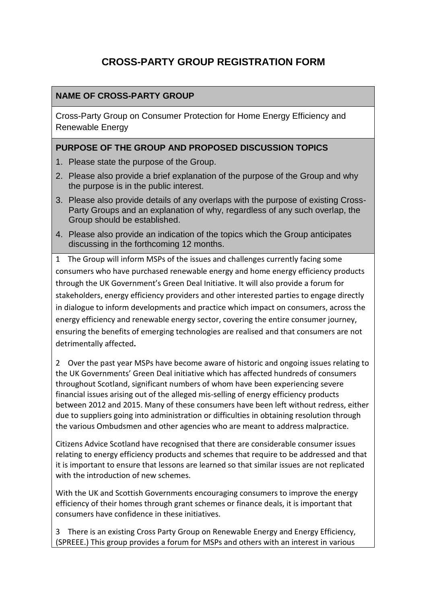# **CROSS-PARTY GROUP REGISTRATION FORM**

### **NAME OF CROSS-PARTY GROUP**

Cross-Party Group on Consumer Protection for Home Energy Efficiency and Renewable Energy

### **PURPOSE OF THE GROUP AND PROPOSED DISCUSSION TOPICS**

- 1. Please state the purpose of the Group.
- 2. Please also provide a brief explanation of the purpose of the Group and why the purpose is in the public interest.
- 3. Please also provide details of any overlaps with the purpose of existing Cross-Party Groups and an explanation of why, regardless of any such overlap, the Group should be established.
- 4. Please also provide an indication of the topics which the Group anticipates discussing in the forthcoming 12 months.

1 The Group will inform MSPs of the issues and challenges currently facing some consumers who have purchased renewable energy and home energy efficiency products through the UK Government's Green Deal Initiative. It will also provide a forum for stakeholders, energy efficiency providers and other interested parties to engage directly in dialogue to inform developments and practice which impact on consumers, across the energy efficiency and renewable energy sector, covering the entire consumer journey, ensuring the benefits of emerging technologies are realised and that consumers are not detrimentally affected**.** 

2 Over the past year MSPs have become aware of historic and ongoing issues relating to the UK Governments' Green Deal initiative which has affected hundreds of consumers throughout Scotland, significant numbers of whom have been experiencing severe financial issues arising out of the alleged mis-selling of energy efficiency products between 2012 and 2015. Many of these consumers have been left without redress, either due to suppliers going into administration or difficulties in obtaining resolution through the various Ombudsmen and other agencies who are meant to address malpractice.

Citizens Advice Scotland have recognised that there are considerable consumer issues relating to energy efficiency products and schemes that require to be addressed and that it is important to ensure that lessons are learned so that similar issues are not replicated with the introduction of new schemes.

With the UK and Scottish Governments encouraging consumers to improve the energy efficiency of their homes through grant schemes or finance deals, it is important that consumers have confidence in these initiatives.

3 There is an existing Cross Party Group on Renewable Energy and Energy Efficiency, (SPREEE.) This group provides a forum for MSPs and others with an interest in various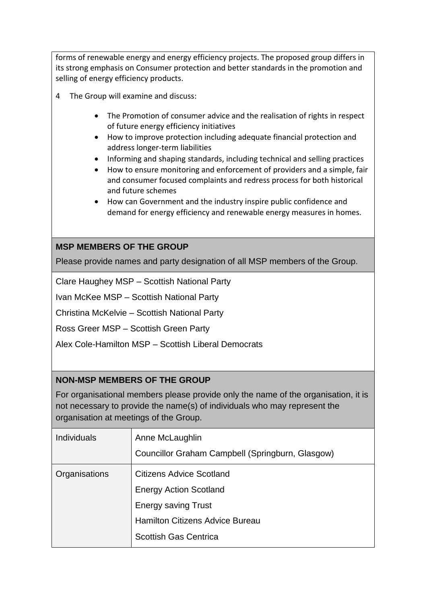forms of renewable energy and energy efficiency projects. The proposed group differs in its strong emphasis on Consumer protection and better standards in the promotion and selling of energy efficiency products.

- 4 The Group will examine and discuss:
	- The Promotion of consumer advice and the realisation of rights in respect of future energy efficiency initiatives
	- How to improve protection including adequate financial protection and address longer-term liabilities
	- Informing and shaping standards, including technical and selling practices
	- How to ensure monitoring and enforcement of providers and a simple, fair and consumer focused complaints and redress process for both historical and future schemes
	- How can Government and the industry inspire public confidence and demand for energy efficiency and renewable energy measures in homes.

### **MSP MEMBERS OF THE GROUP**

Please provide names and party designation of all MSP members of the Group.

Clare Haughey MSP – Scottish National Party

Ivan McKee MSP – Scottish National Party

Christina McKelvie – Scottish National Party

Ross Greer MSP – Scottish Green Party

Alex Cole-Hamilton MSP – Scottish Liberal Democrats

### **NON-MSP MEMBERS OF THE GROUP**

For organisational members please provide only the name of the organisation, it is not necessary to provide the name(s) of individuals who may represent the organisation at meetings of the Group.

| <b>Individuals</b> | Anne McLaughlin<br>Councillor Graham Campbell (Springburn, Glasgow) |
|--------------------|---------------------------------------------------------------------|
| Organisations      | <b>Citizens Advice Scotland</b><br><b>Energy Action Scotland</b>    |
|                    | <b>Energy saving Trust</b>                                          |
|                    | <b>Hamilton Citizens Advice Bureau</b>                              |
|                    | <b>Scottish Gas Centrica</b>                                        |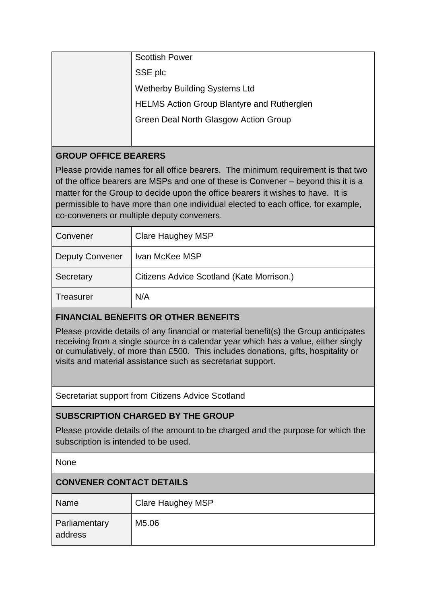| <b>Scottish Power</b>                             |
|---------------------------------------------------|
| SSE plc                                           |
| <b>Wetherby Building Systems Ltd</b>              |
| <b>HELMS Action Group Blantyre and Rutherglen</b> |
| Green Deal North Glasgow Action Group             |
|                                                   |

# **GROUP OFFICE BEARERS**

Please provide names for all office bearers. The minimum requirement is that two of the office bearers are MSPs and one of these is Convener – beyond this it is a matter for the Group to decide upon the office bearers it wishes to have. It is permissible to have more than one individual elected to each office, for example, co-conveners or multiple deputy conveners.

| Convener               | <b>Clare Haughey MSP</b>                  |
|------------------------|-------------------------------------------|
| <b>Deputy Convener</b> | Ivan McKee MSP                            |
| Secretary              | Citizens Advice Scotland (Kate Morrison.) |
| <b>Treasurer</b>       | N/A                                       |

# **FINANCIAL BENEFITS OR OTHER BENEFITS**

Please provide details of any financial or material benefit(s) the Group anticipates receiving from a single source in a calendar year which has a value, either singly or cumulatively, of more than £500. This includes donations, gifts, hospitality or visits and material assistance such as secretariat support.

Secretariat support from Citizens Advice Scotland

### **SUBSCRIPTION CHARGED BY THE GROUP**

Please provide details of the amount to be charged and the purpose for which the subscription is intended to be used.

None

## **CONVENER CONTACT DETAILS**

| Name                            | <b>Clare Haughey MSP</b> |
|---------------------------------|--------------------------|
| <b>Parliamentary</b><br>address | M5.06                    |